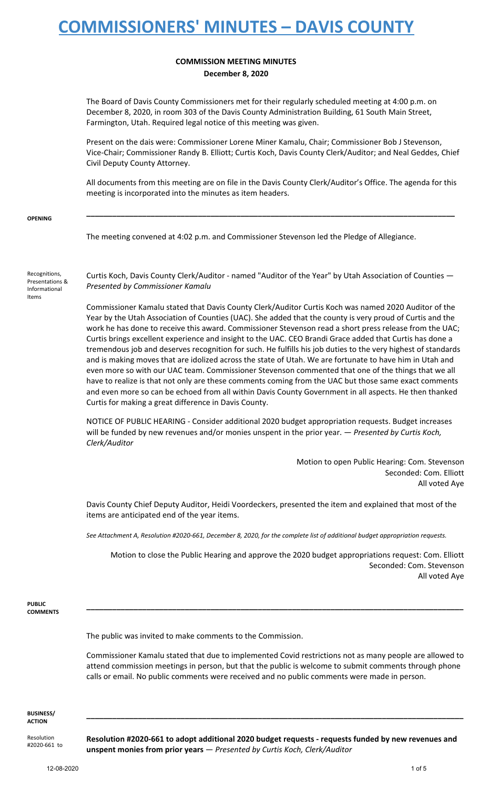### **COMMISSION MEETING MINUTES December 8, 2020**

The Board of Davis County Commissioners met for their regularly scheduled meeting at 4:00 p.m. on December 8, 2020, in room 303 of the Davis County Administration Building, 61 South Main Street, Farmington, Utah. Required legal notice of this meeting was given.

Present on the dais were: Commissioner Lorene Miner Kamalu, Chair; Commissioner Bob J Stevenson, Vice-Chair; Commissioner Randy B. Elliott; Curtis Koch, Davis County Clerk/Auditor; and Neal Geddes, Chief Civil Deputy County Attorney.

All documents from this meeting are on file in the Davis County Clerk/Auditor's Office. The agenda for this meeting is incorporated into the minutes as item headers.

**\_\_\_\_\_\_\_\_\_\_\_\_\_\_\_\_\_\_\_\_\_\_\_\_\_\_\_\_\_\_\_\_\_\_\_\_\_\_\_\_\_\_\_\_\_\_\_\_\_\_\_\_\_\_\_\_\_\_\_\_\_\_\_\_\_\_\_\_\_\_\_\_\_\_\_\_\_\_\_\_\_\_\_\_\_\_**

**OPENING**

The meeting convened at 4:02 p.m. and Commissioner Stevenson led the Pledge of Allegiance.

Recognitions, Presentations & Informational Items

Curtis Koch, Davis County Clerk/Auditor - named "Auditor of the Year" by Utah Association of Counties — *Presented by Commissioner Kamalu*

Commissioner Kamalu stated that Davis County Clerk/Auditor Curtis Koch was named 2020 Auditor of the Year by the Utah Association of Counties (UAC). She added that the county is very proud of Curtis and the work he has done to receive this award. Commissioner Stevenson read a short press release from the UAC; Curtis brings excellent experience and insight to the UAC. CEO Brandi Grace added that Curtis has done a tremendous job and deserves recognition for such. He fulfills his job duties to the very highest of standards and is making moves that are idolized across the state of Utah. We are fortunate to have him in Utah and even more so with our UAC team. Commissioner Stevenson commented that one of the things that we all have to realize is that not only are these comments coming from the UAC but those same exact comments and even more so can be echoed from all within Davis County Government in all aspects. He then thanked Curtis for making a great difference in Davis County.

NOTICE OF PUBLIC HEARING - Consider additional 2020 budget appropriation requests. Budget increases will be funded by new revenues and/or monies unspent in the prior year. — *Presented by Curtis Koch, Clerk/Auditor*

> Motion to open Public Hearing: Com. Stevenson Seconded: Com. Elliott All voted Aye

Davis County Chief Deputy Auditor, Heidi Voordeckers, presented the item and explained that most of the items are anticipated end of the year items.

*See Attachment A, Resolution #2020-661, December 8, 2020, for the complete list of additional budget appropriation requests.*

Motion to close the Public Hearing and approve the 2020 budget appropriations request: Com. Elliott Seconded: Com. Stevenson All voted Aye

**PUBLIC COMMENTS**

The public was invited to make comments to the Commission.

Commissioner Kamalu stated that due to implemented Covid restrictions not as many people are allowed to attend commission meetings in person, but that the public is welcome to submit comments through phone calls or email. No public comments were received and no public comments were made in person.

**\_\_\_\_\_\_\_\_\_\_\_\_\_\_\_\_\_\_\_\_\_\_\_\_\_\_\_\_\_\_\_\_\_\_\_\_\_\_\_\_\_\_\_\_\_\_\_\_\_\_\_\_\_\_\_\_\_\_\_\_\_\_\_\_\_\_\_\_\_\_\_\_\_\_\_\_\_\_\_\_\_\_\_\_\_\_\_\_**

**\_\_\_\_\_\_\_\_\_\_\_\_\_\_\_\_\_\_\_\_\_\_\_\_\_\_\_\_\_\_\_\_\_\_\_\_\_\_\_\_\_\_\_\_\_\_\_\_\_\_\_\_\_\_\_\_\_\_\_\_\_\_\_\_\_\_\_\_\_\_\_\_\_\_\_\_\_\_\_\_\_\_\_\_\_\_\_\_**

**BUSINESS/ ACTION**

Resolution #2020-661 to **Resolution #2020-661 to adopt additional 2020 budget requests - requests funded by new revenues and unspent monies from prior years** — *Presented by Curtis Koch, Clerk/Auditor*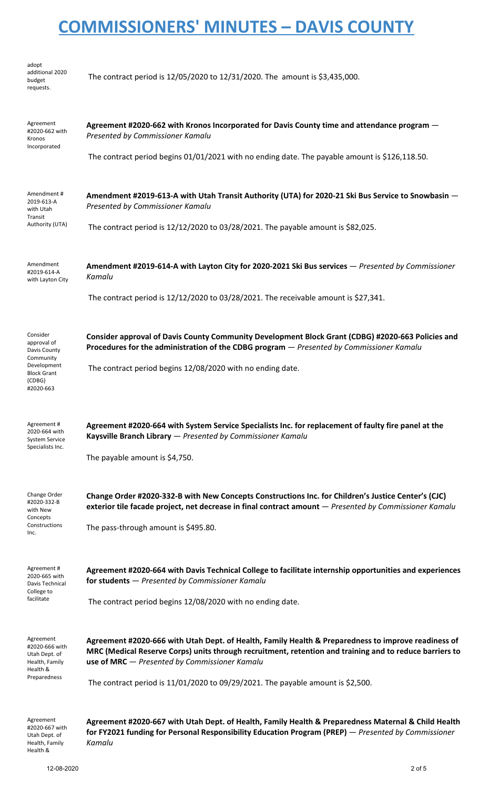| adopt<br>additional 2020<br>budget<br>requests.                                                                  | The contract period is 12/05/2020 to 12/31/2020. The amount is \$3,435,000.                                                                                                                                                                                     |
|------------------------------------------------------------------------------------------------------------------|-----------------------------------------------------------------------------------------------------------------------------------------------------------------------------------------------------------------------------------------------------------------|
| Agreement<br>#2020-662 with<br>Kronos<br>Incorporated                                                            | Agreement #2020-662 with Kronos Incorporated for Davis County time and attendance program –<br>Presented by Commissioner Kamalu                                                                                                                                 |
|                                                                                                                  | The contract period begins 01/01/2021 with no ending date. The payable amount is \$126,118.50.                                                                                                                                                                  |
| Amendment#<br>2019-613-A<br>with Utah<br>Transit<br>Authority (UTA)                                              | Amendment #2019-613-A with Utah Transit Authority (UTA) for 2020-21 Ski Bus Service to Snowbasin -<br>Presented by Commissioner Kamalu                                                                                                                          |
|                                                                                                                  | The contract period is 12/12/2020 to 03/28/2021. The payable amount is \$82,025.                                                                                                                                                                                |
| Amendment<br>#2019-614-A<br>with Layton City                                                                     | Amendment #2019-614-A with Layton City for 2020-2021 Ski Bus services - Presented by Commissioner<br>Kamalu                                                                                                                                                     |
|                                                                                                                  | The contract period is 12/12/2020 to 03/28/2021. The receivable amount is \$27,341.                                                                                                                                                                             |
| Consider<br>approval of<br>Davis County<br>Community<br>Development<br><b>Block Grant</b><br>(CDBG)<br>#2020-663 | Consider approval of Davis County Community Development Block Grant (CDBG) #2020-663 Policies and<br>Procedures for the administration of the CDBG program - Presented by Commissioner Kamalu                                                                   |
|                                                                                                                  | The contract period begins 12/08/2020 with no ending date.                                                                                                                                                                                                      |
| Agreement#<br>2020-664 with<br><b>System Service</b><br>Specialists Inc.                                         | Agreement #2020-664 with System Service Specialists Inc. for replacement of faulty fire panel at the<br>Kaysville Branch Library - Presented by Commissioner Kamalu                                                                                             |
|                                                                                                                  | The payable amount is \$4,750.                                                                                                                                                                                                                                  |
| Change Order<br>#2020-332-B<br>with New<br>Concepts<br>Constructions<br>Inc.                                     | Change Order #2020-332-B with New Concepts Constructions Inc. for Children's Justice Center's (CJC)<br>exterior tile facade project, net decrease in final contract amount - Presented by Commissioner Kamalu                                                   |
|                                                                                                                  | The pass-through amount is \$495.80.                                                                                                                                                                                                                            |
| Agreement#<br>2020-665 with<br>Davis Technical<br>College to<br>facilitate                                       | Agreement #2020-664 with Davis Technical College to facilitate internship opportunities and experiences<br>for students - Presented by Commissioner Kamalu                                                                                                      |
|                                                                                                                  | The contract period begins 12/08/2020 with no ending date.                                                                                                                                                                                                      |
| Agreement<br>#2020-666 with<br>Utah Dept. of<br>Health, Family<br>Health &<br>Preparedness                       | Agreement #2020-666 with Utah Dept. of Health, Family Health & Preparedness to improve readiness of<br>MRC (Medical Reserve Corps) units through recruitment, retention and training and to reduce barriers to<br>use of MRC - Presented by Commissioner Kamalu |
|                                                                                                                  | The contract period is $11/01/2020$ to 09/29/2021. The payable amount is \$2,500.                                                                                                                                                                               |
| Agreement<br>#2020-667 with<br>Utah Dept. of<br>Health, Family                                                   | Agreement #2020-667 with Utah Dept. of Health, Family Health & Preparedness Maternal & Child Health<br>for FY2021 funding for Personal Responsibility Education Program (PREP) - Presented by Commissioner<br>Kamalu                                            |

Health &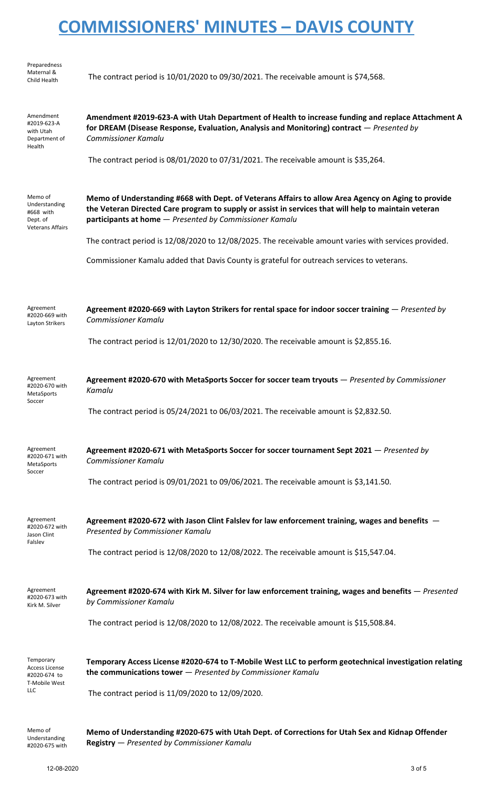| Preparedness<br>Maternal &<br>Child Health                                        | The contract period is $10/01/2020$ to $09/30/2021$ . The receivable amount is \$74,568.                                                                                                                                                                              |
|-----------------------------------------------------------------------------------|-----------------------------------------------------------------------------------------------------------------------------------------------------------------------------------------------------------------------------------------------------------------------|
| Amendment<br>#2019-623-A<br>with Utah<br>Department of<br>Health                  | Amendment #2019-623-A with Utah Department of Health to increase funding and replace Attachment A<br>for DREAM (Disease Response, Evaluation, Analysis and Monitoring) contract - Presented by<br>Commissioner Kamalu                                                 |
|                                                                                   | The contract period is 08/01/2020 to 07/31/2021. The receivable amount is \$35,264.                                                                                                                                                                                   |
| Memo of<br>Understanding<br>#668 with<br>Dept. of<br><b>Veterans Affairs</b>      | Memo of Understanding #668 with Dept. of Veterans Affairs to allow Area Agency on Aging to provide<br>the Veteran Directed Care program to supply or assist in services that will help to maintain veteran<br>participants at home - Presented by Commissioner Kamalu |
|                                                                                   | The contract period is 12/08/2020 to 12/08/2025. The receivable amount varies with services provided.                                                                                                                                                                 |
|                                                                                   | Commissioner Kamalu added that Davis County is grateful for outreach services to veterans.                                                                                                                                                                            |
| Agreement<br>#2020-669 with<br>Layton Strikers                                    | Agreement #2020-669 with Layton Strikers for rental space for indoor soccer training - Presented by<br><b>Commissioner Kamalu</b>                                                                                                                                     |
|                                                                                   | The contract period is $12/01/2020$ to $12/30/2020$ . The receivable amount is \$2,855.16.                                                                                                                                                                            |
| Agreement<br>#2020-670 with<br>MetaSports<br>Soccer                               | Agreement #2020-670 with MetaSports Soccer for soccer team tryouts - Presented by Commissioner<br>Kamalu                                                                                                                                                              |
|                                                                                   | The contract period is $05/24/2021$ to $06/03/2021$ . The receivable amount is \$2,832.50.                                                                                                                                                                            |
| Agreement<br>#2020-671 with<br>MetaSports<br>Soccer                               | Agreement #2020-671 with MetaSports Soccer for soccer tournament Sept 2021 - Presented by<br><b>Commissioner Kamalu</b>                                                                                                                                               |
|                                                                                   | The contract period is $09/01/2021$ to $09/06/2021$ . The receivable amount is \$3,141.50.                                                                                                                                                                            |
| Agreement<br>#2020-672 with<br>Jason Clint<br>Falslev                             | Agreement #2020-672 with Jason Clint Falslev for law enforcement training, wages and benefits -<br>Presented by Commissioner Kamalu                                                                                                                                   |
|                                                                                   | The contract period is $12/08/2020$ to $12/08/2022$ . The receivable amount is \$15,547.04.                                                                                                                                                                           |
| Agreement<br>#2020-673 with<br>Kirk M. Silver                                     | Agreement #2020-674 with Kirk M. Silver for law enforcement training, wages and benefits - Presented<br>by Commissioner Kamalu                                                                                                                                        |
|                                                                                   | The contract period is 12/08/2020 to 12/08/2022. The receivable amount is \$15,508.84.                                                                                                                                                                                |
| Temporary<br><b>Access License</b><br>#2020-674 to<br>T-Mobile West<br><b>LLC</b> | Temporary Access License #2020-674 to T-Mobile West LLC to perform geotechnical investigation relating<br>the communications tower $-$ Presented by Commissioner Kamalu                                                                                               |
|                                                                                   | The contract period is 11/09/2020 to 12/09/2020.                                                                                                                                                                                                                      |
| Memo of<br>Understanding<br>#2020-675 with                                        | Memo of Understanding #2020-675 with Utah Dept. of Corrections for Utah Sex and Kidnap Offender<br>Registry - Presented by Commissioner Kamalu                                                                                                                        |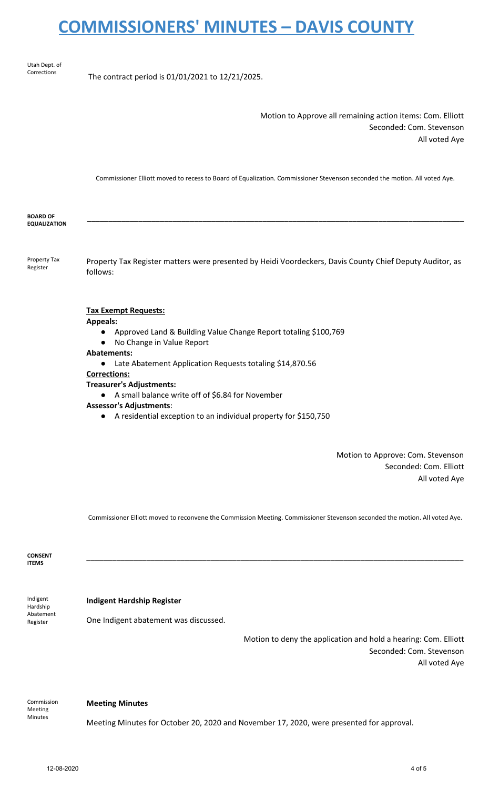Utah Dept. of Corrections

The contract period is 01/01/2021 to 12/21/2025.

Motion to Approve all remaining action items: Com. Elliott Seconded: Com. Stevenson All voted Aye

Commissioner Elliott moved to recess to Board of Equalization. Commissioner Stevenson seconded the motion. All voted Aye.

| <b>BOARD OF</b><br><b>EQUALIZATION</b> |                                                                                                                                                                                                                                                                                                                                                                                                                                                                                                           |
|----------------------------------------|-----------------------------------------------------------------------------------------------------------------------------------------------------------------------------------------------------------------------------------------------------------------------------------------------------------------------------------------------------------------------------------------------------------------------------------------------------------------------------------------------------------|
| Property Tax<br>Register               | Property Tax Register matters were presented by Heidi Voordeckers, Davis County Chief Deputy Auditor, as<br>follows:                                                                                                                                                                                                                                                                                                                                                                                      |
|                                        | <b>Tax Exempt Requests:</b><br><b>Appeals:</b><br>Approved Land & Building Value Change Report totaling \$100,769<br>$\bullet$<br>No Change in Value Report<br>$\bullet$<br><b>Abatements:</b><br>Late Abatement Application Requests totaling \$14,870.56<br>$\bullet$<br><b>Corrections:</b><br><b>Treasurer's Adjustments:</b><br>• A small balance write off of \$6.84 for November<br><b>Assessor's Adjustments:</b><br>A residential exception to an individual property for \$150,750<br>$\bullet$ |
|                                        | Motion to Approve: Com. Stevenson<br>Seconded: Com. Elliott                                                                                                                                                                                                                                                                                                                                                                                                                                               |

All voted Aye

Commissioner Elliott moved to reconvene the Commission Meeting. Commissioner Stevenson seconded the motion. All voted Aye.

**\_\_\_\_\_\_\_\_\_\_\_\_\_\_\_\_\_\_\_\_\_\_\_\_\_\_\_\_\_\_\_\_\_\_\_\_\_\_\_\_\_\_\_\_\_\_\_\_\_\_\_\_\_\_\_\_\_\_\_\_\_\_\_\_\_\_\_\_\_\_\_\_\_\_\_\_\_\_\_\_\_\_\_\_\_\_\_\_**

**CONSENT ITEMS**

#### **Indigent Hardship Register**

Indigent Hardship Abatement Register

One Indigent abatement was discussed.

Motion to deny the application and hold a hearing: Com. Elliott Seconded: Com. Stevenson All voted Aye

Commission Meeting Minutes

#### **Meeting Minutes**

Meeting Minutes for October 20, 2020 and November 17, 2020, were presented for approval.